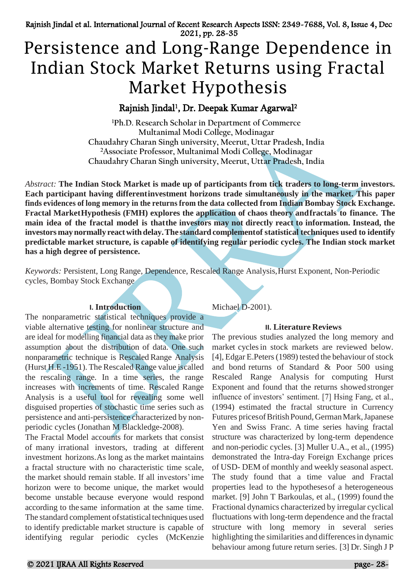# Persistence and Long-Range Dependence in Indian Stock Market Returns using Fractal Market Hypothesis

# Rajnish Jindal<sup>1</sup>, Dr. Deepak Kumar Agarwal<sup>2</sup>

**<sup>1</sup>Ph.D. Research Scholar in Department of Commerce Multanimal Modi College, Modinagar Chaudahry Charan Singh university, Meerut, Uttar Pradesh, India <sup>2</sup>Associate Professor, Multanimal Modi College, Modinagar Chaudahry Charan Singh university, Meerut, Uttar Pradesh, India**

*Abstract:* **The Indian Stock Market is made up of participants from tick traders to long-term investors. Each participant having differentinvestment horizons trade simultaneously in the market. This paper finds evidences of long memory in the returns from the data collected from Indian Bombay Stock Exchange. Fractal MarketHypothesis (FMH) explores the application of chaos theory andfractals to finance. The main idea of the fractal model is thatthe investors may not directly react to information. Instead, the investors maynormally reactwithdelay.The standardcomplementof statistical techniques used to identify predictable market structure, is capable of identifying regular periodic cycles. The Indian stock market has a high degree of persistence.**

*Keywords:* Persistent, Long Range, Dependence, Rescaled Range Analysis,Hurst Exponent, Non-Periodic cycles, Bombay Stock Exchange

# **I. Introduction**

The nonparametric statistical techniques provide a viable alternative testing for nonlinear structure and are ideal for modelling financial data as they make prior assumption about the distribution of data. One such nonparametric technique is Rescaled Range Analysis (Hurst H.E -1951). The Rescaled Range value iscalled the rescaling range. In a time series, the range increases with increments of time. Rescaled Range Analysis is a useful tool for revealing some well disguised properties of stochastic time series such as persistence and anti-persistence characterized by nonperiodic cycles (Jonathan M Blackledge-2008).

The Fractal Model accounts for markets that consist of many irrational investors, trading at different investment horizons.As long as the market maintains a fractal structure with no characteristic time scale, the market should remain stable. If all investors'ime horizon were to become unique, the market would become unstable because everyone would respond according to the same information at the same time. The standard complement of statistical techniques used to identify predictable market structure is capable of identifying regular periodic cycles (McKenzie Michael D-2001).

# **II. Literature Reviews**

The previous studies analyzed the long memory and market cyclesin stock markets are reviewed below. [4], Edgar E. Peters (1989) tested the behaviour of stock and bond returns of Standard & Poor 500 using Rescaled Range Analysis for computing Hurst Exponent and found that the returns showed stronger influence of investors' sentiment. [7] Hsing Fang, et al., (1994) estimated the fractal structure in Currency Futures pricesofBritishPound,GermanMark,Japanese Yen and Swiss Franc. A time series having fractal structure was characterized by long-term dependence and non-periodic cycles. [3] Muller U.A., et al., (1995) demonstrated the Intra-day Foreign Exchange prices of USD- DEM of monthly and weekly seasonal aspect. The study found that a time value and Fractal properties lead to the hypothesesof a heterogeneous market. [9] John T Barkoulas, et al., (1999) found the Fractional dynamics characterized by irregular cyclical fluctuations with long-term dependence and the fractal structure with long memory in several series highlighting the similarities and differences in dynamic behaviour among future return series. [3] Dr. Singh J P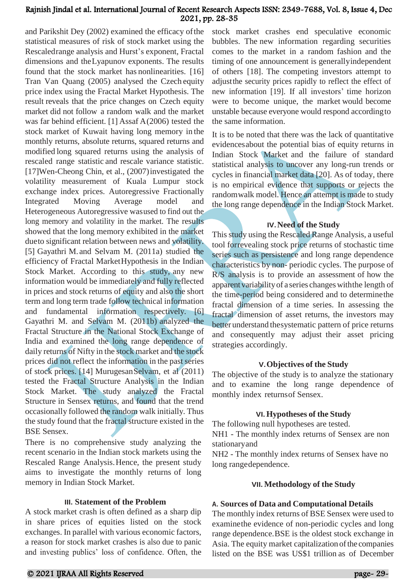and Parikshit Dey (2002) examined the efficacy ofthe statistical measures of risk of stock market using the Rescaledrange analysis and Hurst's exponent, Fractal dimensions and theLyapunov exponents. The results found that the stock market has nonlinearities. [16] Tran Van Quang (2005) analysed the Czech equity price index using the Fractal Market Hypothesis. The result reveals that the price changes on Czech equity market did not follow a random walk and the market was far behind efficient. [1] Assaf A(2006) tested the stock market of Kuwait having long memory in the monthly returns, absolute returns, squared returns and modified long squared returns using the analysis of rescaled range statistic and rescale variance statistic. [17]Wen-Cheong Chin, et al., (2007)investigated the volatility measurement of Kuala Lumpur stock exchange index prices. Autoregressive Fractionally Integrated Moving Average model and Heterogeneous Autoregressive wasused to find out the long memory and volatility in the market. The results showed that the long memory exhibited in the market dueto significant relation between news and volatility. [5] Gayathri M. and Selvam M. (2011a) studied the efficiency of Fractal MarketHypothesis in the Indian Stock Market. According to this study, any new information would be immediately and fully reflected in prices and stock returns of equity and also the short term and long term trade follow technical information and fundamental information respectively. [6] Gayathri M. and Selvam M. (2011b) analyzed the Fractal Structure in the National Stock Exchange of India and examined the long range dependence of daily returns of Nifty in the stock market and the stock prices did not reflect the information in the past series of stock prices. [14] MurugesanSelvam, et al (2011) tested the Fractal Structure Analysis in the Indian Stock Market. The study analyzed the Fractal Structure in Sensex returns, and found that the trend occasionally followed the random walk initially. Thus the study found that the fractal structure existed in the BSE Sensex.

There is no comprehensive study analyzing the recent scenario in the Indian stock markets using the Rescaled Range Analysis.Hence, the present study aims to investigate the monthly returns of long memory in Indian Stock Market.

#### **III. Statement of the Problem**

A stock market crash is often defined as a sharp dip in share prices of equities listed on the stock exchanges. In parallel with various economic factors, a reason for stock market crashes is also due to panic and investing publics' loss of confidence. Often, the

stock market crashes end speculative economic bubbles. The new information regarding securities comes to the market in a random fashion and the timing of one announcement is generallyindependent of others [18]. The competing investors attempt to adjustthe security prices rapidly to reflect the effect of new information [19]. If all investors' time horizon were to become unique, the market would become unstable because everyone would respond accordingto the same information.

It is to be noted that there was the lack of quantitative evidencesabout the potential bias of equity returns in Indian Stock Market and the failure of standard statistical analysis to uncover any long-run trends or cycles in financial market data [20]. As of today, there is no empirical evidence that supports or rejects the randomwalk model. Hence an attempt is made to study the long range dependence in the Indian Stock Market.

#### **IV.Need of the Study**

This study using the Rescaled Range Analysis, a useful tool forrevealing stock price returns of stochastic time series such as persistence and long range dependence characteristics by non- periodic cycles. The purpose of R/S analysis is to provide an assessment of how the apparent variabilityof a series changeswiththe length of the time-period being considered and to determinethe fractal dimension of a time series. In assessing the fractal dimension of asset returns, the investors may better understand thesystematic pattern of price returns and consequently may adjust their asset pricing strategies accordingly.

#### **V.Objectives of the Study**

The objective of the study is to analyze the stationary and to examine the long range dependence of monthly index returnsof Sensex.

#### **VI.Hypotheses of the Study**

The following null hypotheses are tested.

NH1 - The monthly index returns of Sensex are non stationaryand

NH2 - The monthly index returns of Sensex have no long rangedependence.

# **VII. Methodology of the Study**

# **A. Sources of Data and Computational Details**

The monthly index returns of BSE Sensex were used to examinethe evidence of non-periodic cycles and long range dependence.BSE is the oldest stock exchange in Asia. The equity market capitalization of the companies listed on the BSE was US\$1 trillion as of December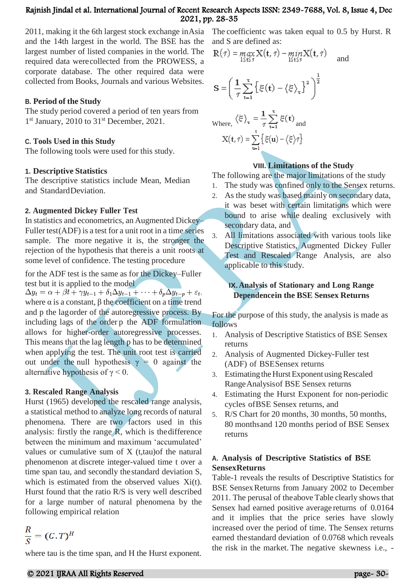2011, making it the 6th largest stock exchange inAsia and the 14th largest in the world. The BSE has the largest number of listed companies in the world. The required data werecollected from the PROWESS, a corporate database. The other required data were collected from Books, Journals and various Websites.

# **B. Period of the Study**

The study period covered a period of ten years from 1<sup>st</sup> January, 2010 to 31<sup>st</sup> December, 2021.

# **C. Tools Used in this Study**

The following tools were used for this study.

#### **1. Descriptive Statistics**

 The descriptive statistics include Mean, Median and StandardDeviation.

#### **2. Augmented Dickey Fuller Test**

In statistics and econometrics, an Augmented Dickey– Fuller test(ADF) is a test for a unit root in a time series sample. The more negative it is, the stronger the rejection of the hypothesis that thereis a unit roots at some level of confidence. The testing procedure

for the ADF test is the same as for the Dickey–Fuller

test but it is applied to the model<br>  $\Delta y_t = \alpha + \beta t + \gamma y_{t-1} + \delta_1 \Delta y_{t-1} + \cdots + \delta_p \Delta y_{t-p} + \varepsilon_t,$ where  $\alpha$  is a constant,  $\beta$  the coefficient on a time trend and p the lagorder of the autoregressive process. By including lags of the order p the ADF formulation allows for higher-order autoregressive processes. This means that the lag length p has to be determined when applying the test. The unit root test is carried out under the null hypothesis  $\gamma = 0$  against the alternative hypothesis of  $\gamma$  < 0.

# **3. Rescaled Range Analysis**

Hurst (1965) developed the rescaled range analysis, a statistical method to analyze long records of natural phenomena. There are two factors used in this analysis: firstly the range R, which is thedifference between the minimum and maximum 'accumulated' values or cumulative sum of X (t,tau)of the natural phenomenon at discrete integer-valued time t over a time span tau, and secondly thestandard deviation S, which is estimated from the observed values Xi(t). Hurst found that the ratio R/S is very well described for a large number of natural phenomena by the following empirical relation

$$
\frac{R}{S} = (C, T)^H
$$

where tau is the time span, and H the Hurst exponent.

The coefficientc was taken equal to 0.5 by Hurst. R and S are defined as:

$$
\mathbf{R}(\tau) = \max_{1 \leq \tau \leq \tau} \mathbf{X}(\mathbf{t}, \tau) - \min_{1 \leq \tau \leq \tau} \mathbf{X}(\mathbf{t}, \tau) \quad \text{and} \quad
$$

$$
S = \left(\frac{1}{\tau} \sum_{t=1}^{\tau} \left\{ \xi(t) - \langle \xi \rangle_{\tau} \right\}^2 \right)^{\frac{1}{2}}
$$

Where, 
$$
\langle \xi \rangle_{\tau} = \frac{1}{\tau} \sum_{t=1}^{\tau} \xi(t)
$$
 and  

$$
X(t, \tau) = \sum_{u=1}^{t} \{\xi(u) - \langle \xi \rangle \tau\}
$$

# **VIII. Limitations of the Study**

The following are the major limitations of the study

- 1. The study was confined only to the Sensex returns.
- 2. As the study was based mainly on secondary data, it was beset with certain limitations which were bound to arise while dealing exclusively with secondary data, and
- 3. All limitations associated with various tools like Descriptive Statistics, Augmented Dickey Fuller Test and Rescaled Range Analysis, are also applicable to this study.

# **IX.Analysis of Stationary and Long Range Dependencein the BSE Sensex Returns**

For the purpose of this study, the analysis is made as follows

- 1. Analysis of Descriptive Statistics of BSE Sensex returns
- 2. Analysis of Augmented Dickey-Fuller test (ADF) of BSESensex returns
- 3. Estimating the Hurst Exponent using Rescaled RangeAnalysisof BSE Sensex returns
- 4. Estimating the Hurst Exponent for non-periodic cycles ofBSE Sensex returns, and
- 5. R/S Chart for 20 months, 30 months, 50 months, 80 monthsand 120 months period of BSE Sensex returns

# **A. Analysis of Descriptive Statistics of BSE SensexReturns**

Table-1 reveals the results of Descriptive Statistics for BSE Sensex Returns from January 2002 to December 2011. The perusal of theabove Table clearly shows that Sensex had earned positive average returns of 0.0164 and it implies that the price series have slowly increased over the period of time. The Sensex returns earned thestandard deviation of 0.0768 which reveals the risk in the market. The negative skewness i.e., -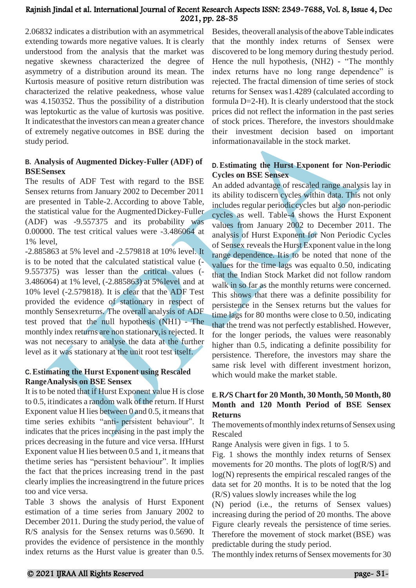2.06832 indicates a distribution with an asymmetrical extending towards more negative values. It is clearly understood from the analysis that the market was negative skewness characterized the degree of asymmetry of a distribution around its mean. The Kurtosis measure of positive return distribution was characterized the relative peakedness, whose value was 4.150352. Thus the possibility of a distribution was leptokurtic as the value of kurtosis was positive. It indicatesthat the investors can mean a greater chance of extremely negative outcomes in BSE during the study period.

# **B. Analysis of Augmented Dickey-Fuller (ADF) of BSESensex**

The results of ADF Test with regard to the BSE Sensex returns from January 2002 to December 2011 are presented in Table-2.According to above Table, the statistical value for the AugmentedDickey-Fuller (ADF) was -9.557375 and its probability was 0.00000. The test critical values were -3.486064 at 1% level,

-2.885863 at 5% level and -2.579818 at 10% level. It is to be noted that the calculated statistical value (- 9.557375) was lesser than the critical values (- 3.486064) at 1% level, (-2.885863) at 5%level and at 10% level (-2.579818). It is clear that the ADF Test provided the evidence of stationary in respect of monthly Sensexreturns. The overall analysis of ADF test proved that the null hypothesis (NH1) - The monthly index returns are non stationary,is rejected. It was not necessary to analyse the data at the further level as it was stationary at the unit root test itself.

# **C. Estimating the Hurst Exponent using Rescaled RangeAnalysis on BSE Sensex**

It is to be noted that if Hurst Exponent value H is close to 0.5, itindicates a random walk of the return. If Hurst Exponent value H lies between  $0$  and  $0.5$ , it means that time series exhibits "anti- persistent behaviour". It indicates that the prices increasing in the past imply the prices decreasing in the future and vice versa. IfHurst Exponent value H lies between  $0.5$  and  $1$ , it means that thetime series has "persistent behaviour". It implies the fact that the prices increasing trend in the past clearly implies the increasingtrend in the future prices too and vice versa.

Table 3 shows the analysis of Hurst Exponent estimation of a time series from January 2002 to December 2011. During the study period, the value of R/S analysis for the Sensex returns was 0.5690. It provides the evidence of persistence in the monthly index returns as the Hurst value is greater than 0.5. Besides, theoverall analysis of the above Table indicates that the monthly index returns of Sensex were discovered to be long memory during thestudy period. Hence the null hypothesis, (NH2) - "The monthly index returns have no long range dependence" is rejected. The fractal dimension of time series of stock returns for Sensex was1.4289 (calculated according to formula D=2-H). It is clearly understood that the stock prices did not reflect the information in the past series of stock prices. Therefore, the investors shouldmake their investment decision based on important informationavailable in the stock market.

# **D. Estimating the Hurst Exponent for Non-Periodic Cycles on BSE Sensex**

An added advantage of rescaled range analysis lay in its ability todiscern cycles within data. This not only includes regular periodiccycles but also non-periodic cycles as well. Table-4 shows the Hurst Exponent values from January 2002 to December 2011. The analysis of Hurst Exponent for Non Periodic Cycles of Sensex reveals the Hurst Exponent value in the long range dependence. Itis to be noted that none of the values for the time lags was equalto 0.50, indicating that the Indian Stock Market did not follow random walk in so far as the monthly returns were concerned. This shows that there was a definite possibility for persistence in the Sensex returns but the values for time lags for 80 months were close to 0.50, indicating that the trend was not perfectly established. However, for the longer periods, the values were reasonably higher than 0.5, indicating a definite possibility for persistence. Therefore, the investors may share the same risk level with different investment horizon, which would make the market stable.

# **E. R/S Chart for <sup>20</sup> Month, <sup>30</sup> Month, <sup>50</sup> Month, <sup>80</sup> Month and 120 Month Period of BSE Sensex Returns**

The movements of monthly index returns of Sensex using Rescaled

Range Analysis were given in figs. 1 to 5.

Fig. 1 shows the monthly index returns of Sensex movements for 20 months. The plots of  $log(R/S)$  and log(N) represents the empirical rescaled ranges of the data set for 20 months. It is to be noted that the log (R/S) values slowly increases while the log

(N) period (i.e., the returns of Sensex values) increasing during the period of 20 months. The above Figure clearly reveals the persistence of time series. Therefore the movement of stock market (BSE) was predictable during the study period.

The monthly index returns of Sensex movements for 30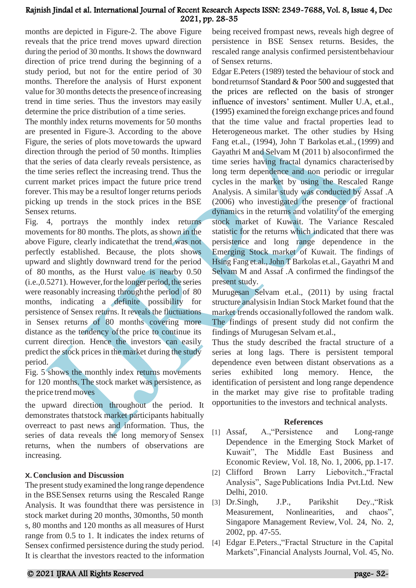months are depicted in Figure-2. The above Figure reveals that the price trend moves upward direction during the period of 30 months. It shows the downward direction of price trend during the beginning of a study period, but not for the entire period of 30 months. Therefore the analysis of Hurst exponent value for 30 months detects the presence of increasing trend in time series. Thus the investors may easily determine the price distribution of a time series.

The monthly index returns movements for 50 months are presented in Figure-3. According to the above Figure, the series of plots move towards the upward direction through the period of 50 months. Itimplies that the series of data clearly reveals persistence, as the time series reflect the increasing trend. Thus the current market prices impact the future price trend forever. This may be a resultof longer returns periods picking up trends in the stock prices in the BSE Sensex returns.

Fig. 4, portrays the monthly index returns movements for 80 months. The plots, as shown in the above Figure, clearly indicatethat the trend was not perfectly established. Because, the plots shows upward and slightly downward trend for the period of 80 months, as the Hurst value is nearby 0.50 (i.e.,0.5271). However,forthe longer period, the series were reasonably increasing throughthe period of 80 months, indicating a definite possibility for persistence of Sensex returns. It reveals the fluctuations in Sensex returns of 80 months covering more distance as the tendency ofthe price to continue its current direction. Hence the investors can easily predict the stock prices in the market during the study period.

Fig. 5 shows the monthly index returns movements for 120 months. The stock market was persistence, as the price trendmoves

the upward direction throughout the period. It demonstrates thatstock market participants habitually overreact to past news and information. Thus, the series of data reveals the long memoryof Sensex returns, when the numbers of observations are increasing.

# **X.Conclusion and Discussion**

The present study examined the long range dependence in the BSESensex returns using the Rescaled Range Analysis. It was foundthat there was persistence in stock market during 20 months, 30months, 50 month s, 80 months and 120 months as all measures of Hurst range from 0.5 to 1. It indicates the index returns of Sensex confirmed persistence during the study period. It is clearthat the investors reacted to the information

being received frompast news, reveals high degree of persistence in BSE Sensex returns. Besides, the rescaled range analysis confirmed persistentbehaviour of Sensex returns.

Edgar E.Peters (1989) tested the behaviour of stock and bondreturnsof Standard & Poor 500 and suggested that the prices are reflected on the basis of stronger influence of investors' sentiment. Muller U.A, et.al., (1995) examined the foreign exchange prices and found that the time value and fractal properties lead to Heterogeneous market. The other studies by Hsing Fang et.al., (1994), John T Barkolas et.al., (1999) and Gayathri M and Selvam M (2011 b) alsoconfirmed the time series having fractal dynamics characterised by long term dependence and non periodic or irregular cycles in the market by using the Rescaled Range Analysis. A similar study was conducted by Assaf .A (2006) who investigated the presence of fractional dynamics in the returns and volatility of the emerging stock market of Kuwait. The Variance Rescaled statistic for the returns which indicated that there was persistence and long range dependence in the Emerging Stock market of Kuwait. The findings of Hsing Fang et.al., John T Barkolas et.al., Gayathri M and Selvam M and Assaf .A confirmed the findingsof the present study.

Murugesan Selvam et.al., (2011) by using fractal structure analysisin Indian Stock Market found that the market trends occasionallyfollowed the random walk. The findings of present study did not confirm the findings of Murugesan Selvam et.al.,

Thus the study described the fractal structure of a series at long lags. There is persistent temporal dependence even between distant observations as a series exhibited long memory. Hence, the identification of persistent and long range dependence in the market may give rise to profitable trading opportunities to the investors and technical analysts.

# **References**

- [1] Assaf, A.,"Persistence and Long-range Dependence in the Emerging Stock Market of Kuwait", The Middle East Business and Economic Review, Vol. 18, No. 1, 2006, pp.1-17.
- [2] Clifford Brown Larry Liebovitch.,"Fractal Analysis", SagePublications India Pvt.Ltd. New Delhi, 2010.
- [3] Dr.Singh, J.P., Parikshit Dey.,"Risk Measurement, Nonlinearities, and chaos", Singapore Management Review, Vol. 24, No. 2, 2002, pp. 47-55.
- [4] Edgar E.Peters.,"Fractal Structure in the Capital Markets",Financial Analysts Journal, Vol. 45, No.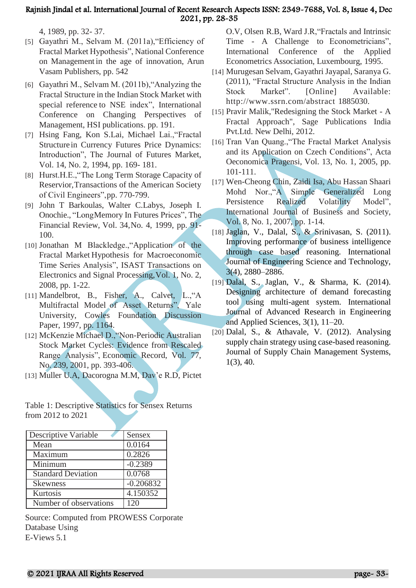4, 1989, pp. 32- 37.

- [5] Gayathri M., Selvam M. (2011a),"Efficiency of Fractal Market Hypothesis", National Conference on Management in the age of innovation, Arun Vasam Publishers, pp. 542
- [6] Gayathri M., Selvam M. (2011b),"Analyzing the Fractal Structure in the Indian Stock Market with special reference to NSE index", International Conference on Changing Perspectives of Management, HSI publications. pp. 191.
- [7] Hsing Fang, Kon S.Lai, Michael Lai.,"Fractal Structure in Currency Futures Price Dynamics: Introduction", The Journal of Futures Market, Vol. 14, No. 2, 1994, pp. 169- 181.
- [8] Hurst.H.E., "The Long Term Storage Capacity of Reservior,Transactions of the American Society of Civil Engineers",pp. 770-799.
- [9] John T Barkoulas, Walter C.Labys, Joseph I. Onochie., "LongMemory In Futures Prices", The Financial Review, Vol. 34,No. 4, 1999, pp. 91- 100.
- [10] Jonathan M Blackledge.,"Application of the Fractal Market Hypothesis for Macroeconomic Time Series Analysis", ISAST Transactions on Electronics and Signal Processing,Vol. 1, No. 2, 2008, pp. 1-22.
- [11] Mandelbrot, B., Fisher, A., Calvet, L.,"A Multifractal Model of Asset Returns", Yale University, Cowles Foundation Discussion Paper, 1997, pp. 1164.
- [12] McKenzie Michael D.,"Non-Periodic Australian Stock Market Cycles: Evidence from Rescaled Range Analysis", Economic Record, Vol. 77, No. 239, 2001, pp. 393-406.
- [13] Muller U.A, Dacorogna M.M, Dav'e R.D, Pictet

Table 1: Descriptive Statistics for Sensex Returns from 2012 to 2021

| Descriptive Variable      | Sensex      |
|---------------------------|-------------|
| Mean                      | 0.0164      |
| Maximum                   | 0.2826      |
| Minimum                   | $-0.2389$   |
| <b>Standard Deviation</b> | 0.0768      |
| <b>Skewness</b>           | $-0.206832$ |
| Kurtosis                  | 4.150352    |
| Number of observations    | 120         |

Source: Computed from PROWESS Corporate Database Using E-Views 5.1

O.V, Olsen R.B, Ward J.R,"Fractals and Intrinsic Time - A Challenge to Econometricians", International Conference of the Applied Econometrics Association, Luxembourg, 1995.

- [14] Murugesan Selvam, Gayathri Jayapal, Saranya G. (2011), "Fractal Structure Analysis in the Indian Stock Market". [Online] Available: <http://www.ssrn.com/abstract> 1885030.
- [15] Pravir Malik,"Redesigning the Stock Market A Fractal Approach", Sage Publications India Pvt.Ltd. New Delhi, 2012.
- [16] Tran Van Quang.,"The Fractal Market Analysis and its Application on Czech Conditions", Acta Oeconomica Pragensi, Vol. 13, No. 1, 2005, pp. 101-111.
- [17] Wen-Cheong Chin, Zaidi Isa, Abu Hassan Shaari Mohd Nor.,"A Simple Generalized Long Persistence Realized Volatility Model", International Journal of Business and Society, Vol. 8, No. 1, 2007, pp. 1-14.
- [18] Jaglan, V., Dalal, S., & Srinivasan, S. (2011). Improving performance of business intelligence through case based reasoning. International Journal of Engineering Science and Technology, 3(4), 2880–2886.
- [19] Dalal, S., Jaglan, V., & Sharma, K. (2014). Designing architecture of demand forecasting tool using multi-agent system. International Journal of Advanced Research in Engineering and Applied Sciences, 3(1), 11–20.
- $[20]$  Dalal, S., & Athavale, V.  $(2012)$ . Analysing supply chain strategy using case-based reasoning. Journal of Supply Chain Management Systems, 1(3), 40.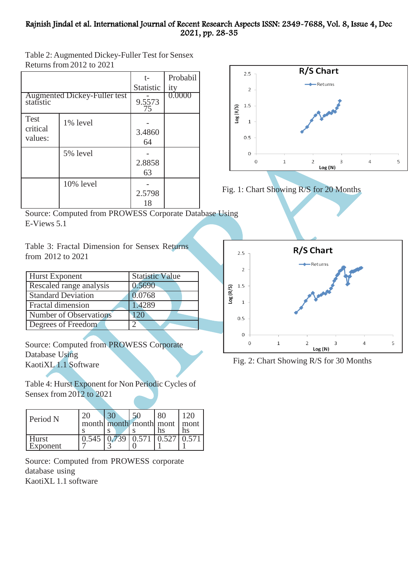Table 2: Augmented Dickey-Fuller Test for Sensex Returns from 2012 to 2021

|                                    |                                     | t-           | Probabil |
|------------------------------------|-------------------------------------|--------------|----------|
|                                    |                                     | Statistic    | ity      |
| statistic                          | <b>Augmented Dickey-Fuller test</b> | 9.5573<br>75 | 0.0000   |
| <b>Test</b><br>critical<br>values: | 1% level                            | 3.4860<br>64 |          |
|                                    | 5% level                            | 2.8858<br>63 |          |
|                                    | 10% level                           | 2.5798<br>18 |          |





Source: Computed from PROWESS Corporate Database Using E-Views 5.1

Table 3: Fractal Dimension for Sensex Returns from 2012 to 2021

| <b>Hurst Exponent</b>     | <b>Statistic Value</b> |
|---------------------------|------------------------|
| Rescaled range analysis   | 0.5690                 |
| <b>Standard Deviation</b> | 0.0768                 |
| <b>Fractal dimension</b>  | 1.4289                 |
| Number of Observations    | 20                     |
| Degrees of Freedom        |                        |

Source: Computed from PROWESS Corporate Database Using KaotiXL 1.1 Software

Table 4: Hurst Exponent for Non Periodic Cycles of Sensex from 2012 to 2021

| Period N          |       |       | month month month mont mont |                           | 120<br>ns |
|-------------------|-------|-------|-----------------------------|---------------------------|-----------|
| Hurst<br>Exponent | 0.545 | 0.739 | 0.571                       | $0.527 \overline{)0.571}$ |           |

Source: Computed from PROWESS corporate database using KaotiXL 1.1 software



Fig. 2: Chart Showing R/S for 30 Months